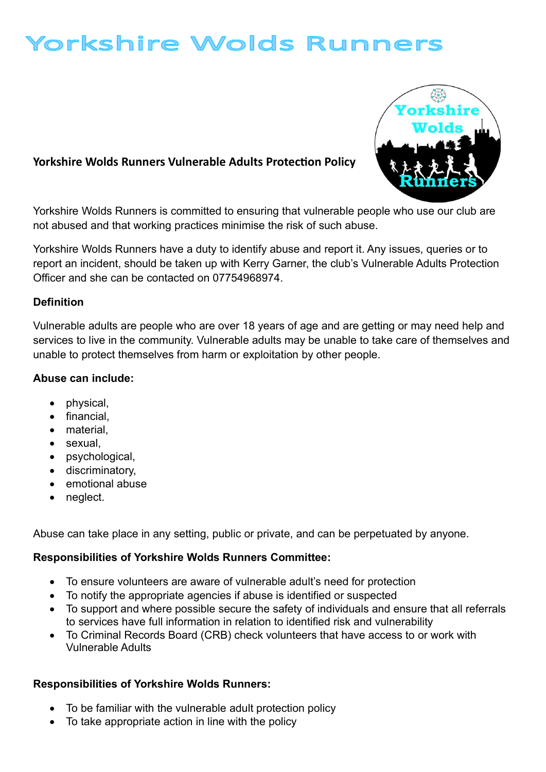# Yorkshire Wolds Runners

## Yorkshire Wolds Runners Vulnerable Adults Protection Policy



Yorkshire Wolds Runners is committed to ensuring that vulnerable people who use our club are not abused and that working practices minimise the risk of such abuse.

Yorkshire Wolds Runners have a duty to identify abuse and report it. Any issues, queries or to report an incident, should be taken up with Kerry Garner, the club's Vulnerable Adults Protection Officer and she can be contacted on 07754968974.

#### Definition

Vulnerable adults are people who are over 18 years of age and are getting or may need help and services to live in the community. Vulnerable adults may be unable to take care of themselves and unable to protect themselves from harm or exploitation by other people.

#### Abuse can include:

- physical,
- financial,
- material
- sexual,
- psychological,
- **•** discriminatory,
- emotional abuse
- neglect.

Abuse can take place in any setting, public or private, and can be perpetuated by anyone.

#### Responsibilities of Yorkshire Wolds Runners Committee:

- To ensure volunteers are aware of vulnerable adult's need for protection
- To notify the appropriate agencies if abuse is identified or suspected
- To support and where possible secure the safety of individuals and ensure that all referrals to services have full information in relation to identified risk and vulnerability
- To Criminal Records Board (CRB) check volunteers that have access to or work with Vulnerable Adults

## Responsibilities of Yorkshire Wolds Runners:

- To be familiar with the vulnerable adult protection policy
- To take appropriate action in line with the policy